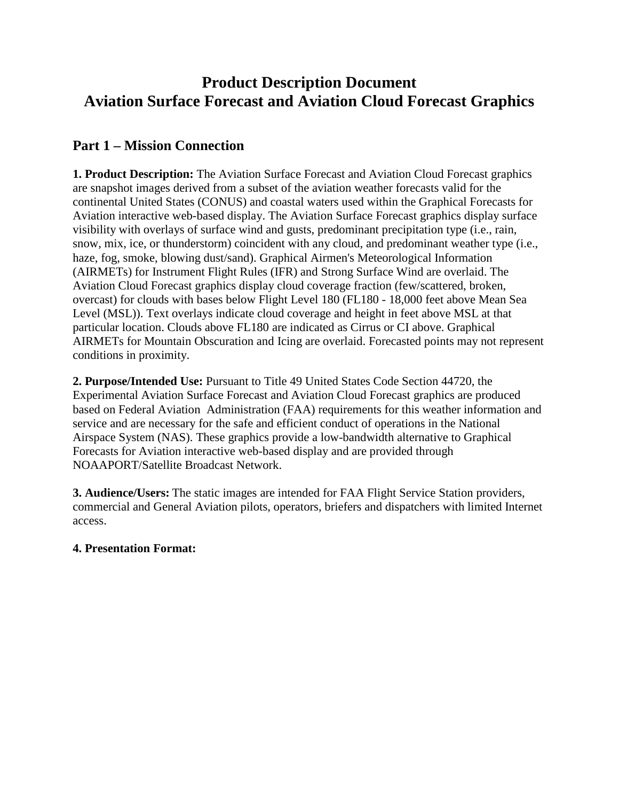# **Product Description Document Aviation Surface Forecast and Aviation Cloud Forecast Graphics**

### **Part 1 – Mission Connection**

**1. Product Description:** The Aviation Surface Forecast and Aviation Cloud Forecast graphics are snapshot images derived from a subset of the aviation weather forecasts valid for the continental United States (CONUS) and coastal waters used within the Graphical Forecasts for Aviation interactive web-based display. The Aviation Surface Forecast graphics display surface visibility with overlays of surface wind and gusts, predominant precipitation type (i.e., rain, snow, mix, ice, or thunderstorm) coincident with any cloud, and predominant weather type (i.e., haze, fog, smoke, blowing dust/sand). Graphical Airmen's Meteorological Information (AIRMETs) for Instrument Flight Rules (IFR) and Strong Surface Wind are overlaid. The Aviation Cloud Forecast graphics display cloud coverage fraction (few/scattered, broken, overcast) for clouds with bases below Flight Level 180 (FL180 - 18,000 feet above Mean Sea Level (MSL)). Text overlays indicate cloud coverage and height in feet above MSL at that particular location. Clouds above FL180 are indicated as Cirrus or CI above. Graphical AIRMETs for Mountain Obscuration and Icing are overlaid. Forecasted points may not represent conditions in proximity.

**2. Purpose/Intended Use:** Pursuant to Title 49 United States Code Section 44720, the Experimental Aviation Surface Forecast and Aviation Cloud Forecast graphics are produced based on Federal Aviation Administration (FAA) requirements for this weather information and service and are necessary for the safe and efficient conduct of operations in the National Airspace System (NAS). These graphics provide a low-bandwidth alternative to Graphical Forecasts for Aviation interactive web-based display and are provided through NOAAPORT/Satellite Broadcast Network.

**3. Audience/Users:** The static images are intended for FAA Flight Service Station providers, commercial and General Aviation pilots, operators, briefers and dispatchers with limited Internet access.

#### **4. Presentation Format:**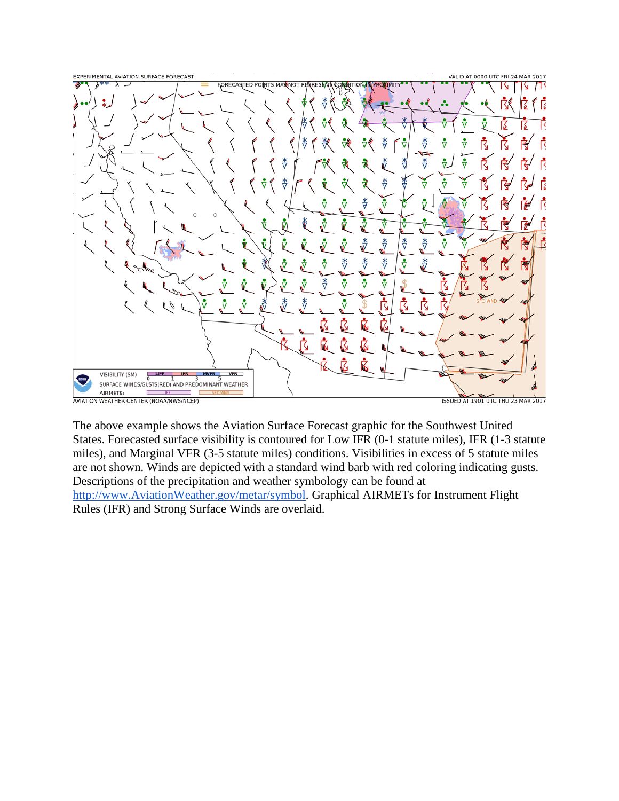

The above example shows the Aviation Surface Forecast graphic for the Southwest United States. Forecasted surface visibility is contoured for Low IFR (0-1 statute miles), IFR (1-3 statute miles), and Marginal VFR (3-5 statute miles) conditions. Visibilities in excess of 5 statute miles are not shown. Winds are depicted with a standard wind barb with red coloring indicating gusts. Descriptions of the precipitation and weather symbology can be found at [http://www.AviationWeather.gov/metar/symbol.](http://www.aviationweather.gov/metar/symbol) Graphical AIRMETs for Instrument Flight Rules (IFR) and Strong Surface Winds are overlaid.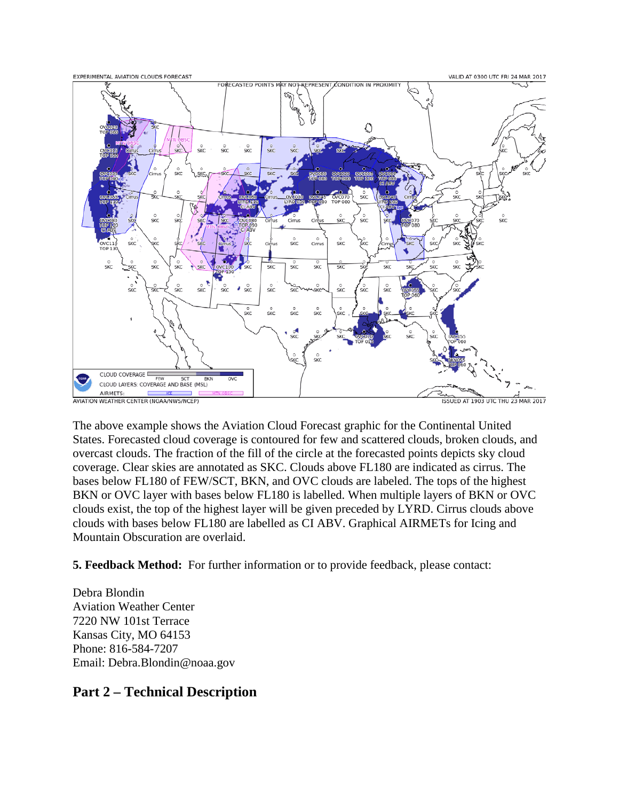

The above example shows the Aviation Cloud Forecast graphic for the Continental United States. Forecasted cloud coverage is contoured for few and scattered clouds, broken clouds, and overcast clouds. The fraction of the fill of the circle at the forecasted points depicts sky cloud coverage. Clear skies are annotated as SKC. Clouds above FL180 are indicated as cirrus. The bases below FL180 of FEW/SCT, BKN, and OVC clouds are labeled. The tops of the highest BKN or OVC layer with bases below FL180 is labelled. When multiple layers of BKN or OVC clouds exist, the top of the highest layer will be given preceded by LYRD. Cirrus clouds above clouds with bases below FL180 are labelled as CI ABV. Graphical AIRMETs for Icing and Mountain Obscuration are overlaid.

**5. Feedback Method:** For further information or to provide feedback, please contact:

Debra Blondin Aviation Weather Center 7220 NW 101st Terrace Kansas City, MO 64153 Phone: 816-584-7207 Email: Debra.Blondin@noaa.gov

## **Part 2 – Technical Description**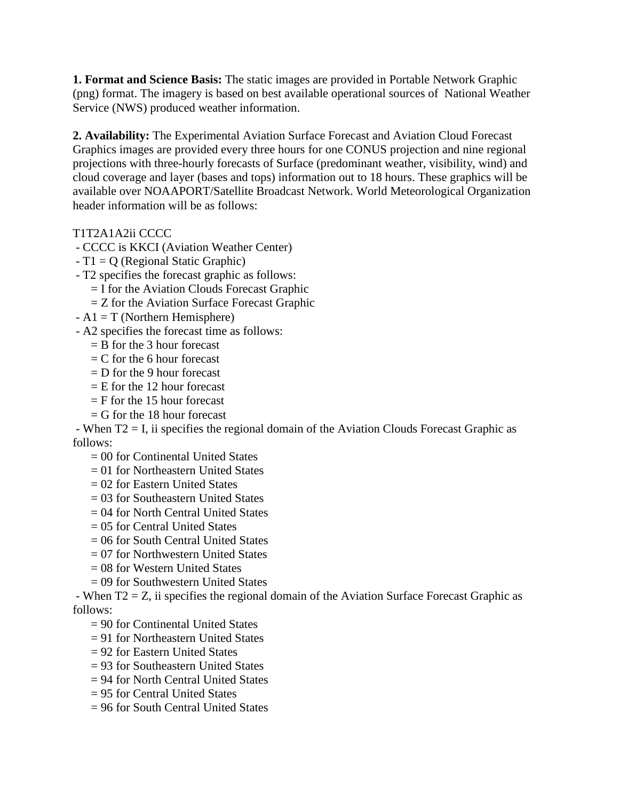**1. Format and Science Basis:** The static images are provided in Portable Network Graphic (png) format. The imagery is based on best available operational sources of National Weather Service (NWS) produced weather information.

**2. Availability:** The Experimental Aviation Surface Forecast and Aviation Cloud Forecast Graphics images are provided every three hours for one CONUS projection and nine regional projections with three-hourly forecasts of Surface (predominant weather, visibility, wind) and cloud coverage and layer (bases and tops) information out to 18 hours. These graphics will be available over NOAAPORT/Satellite Broadcast Network. World Meteorological Organization header information will be as follows:

T1T2A1A2ii CCCC

- CCCC is KKCI (Aviation Weather Center)

- T1 = Q (Regional Static Graphic)
- T2 specifies the forecast graphic as follows:
	- $=$  I for the Aviation Clouds Forecast Graphic
	- $=$  Z for the Aviation Surface Forecast Graphic
- $A1 = T$  (Northern Hemisphere)
- A2 specifies the forecast time as follows:
	- $=$  B for the 3 hour forecast
	- $= C$  for the 6 hour forecast
	- $=$  D for the 9 hour forecast
	- $=$  E for the 12 hour forecast
	- $=$  F for the 15 hour forecast
	- $=$  G for the 18 hour forecast

- When T2 = I, ii specifies the regional domain of the Aviation Clouds Forecast Graphic as follows:

- $= 00$  for Continental United States
- = 01 for Northeastern United States
- = 02 for Eastern United States
- $= 03$  for Southeastern United States
- = 04 for North Central United States
- $= 05$  for Central United States
- = 06 for South Central United States
- = 07 for Northwestern United States
- = 08 for Western United States
- = 09 for Southwestern United States

- When T2 = Z, ii specifies the regional domain of the Aviation Surface Forecast Graphic as follows:

- = 90 for Continental United States
- $= 91$  for Northeastern United States
- = 92 for Eastern United States
- = 93 for Southeastern United States
- = 94 for North Central United States
- = 95 for Central United States
- $= 96$  for South Central United States